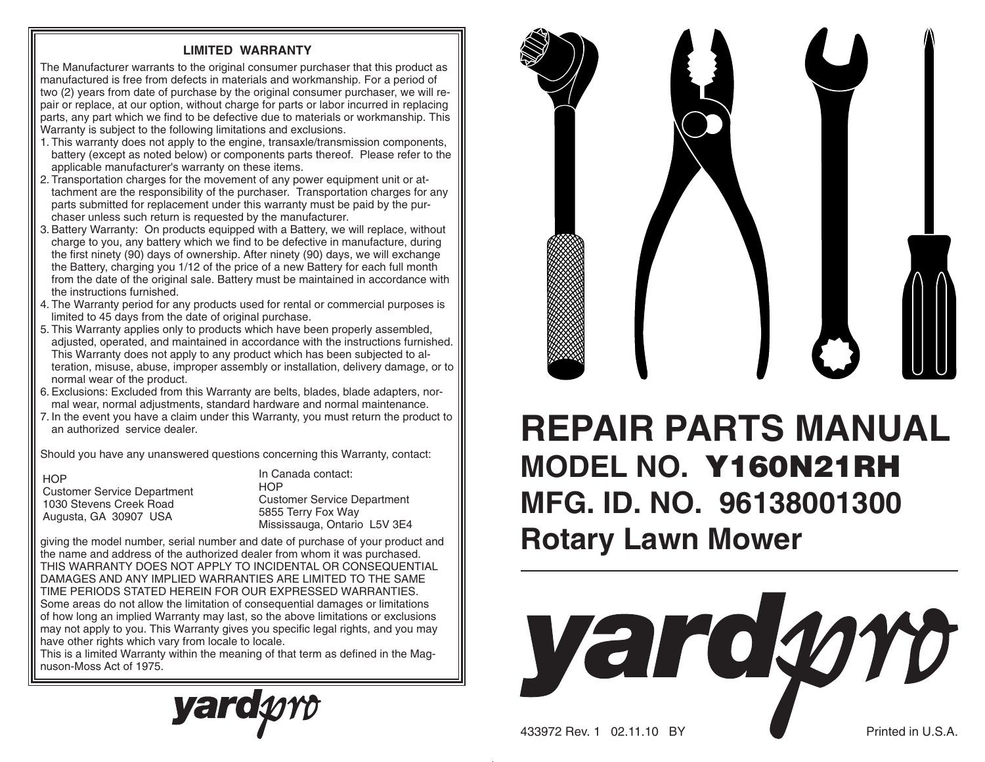## **LIMITED WARRANTY**

The Manufacturer warrants to the original consumer purchaser that this product as manufactured is free from defects in materials and workmanship. For a period of two (2) years from date of purchase by the original consumer purchaser, we will repair or replace, at our option, without charge for parts or labor incurred in replacing parts, any part which we find to be defective due to materials or work manship. This Warranty is subject to the following limitations and exclusions.

- 1. This warranty does not apply to the engine, transaxle/transmission components, battery (except as noted below) or components parts thereof. Please refer to the applicable manufacturer's warranty on these items.
- 2. Transportation charges for the movement of any power equipment unit or attachment are the responsibility of the purchaser. Transportation charges for any parts sub mitted for replacement under this warranty must be paid by the purchaser unless such return is requested by the manufacturer.
- 3. Battery Warranty: On products equipped with a Battery, we will replace, without charge to you, any battery which we find to be defective in manufacture, during the first ninety (90) days of ownership. After ninety (90) days, we will exchange the Battery, charging you 1/12 of the price of a new Battery for each full month from the date of the original sale. Battery must be maintained in accordance with the instructions furnished.
- 4. The Warranty period for any products used for rental or commercial purposes is limited to 45 days from the date of original purchase.
- 5. This Warranty applies only to products which have been properly assembled, adjusted, operated, and maintained in accordance with the instructions furnished. This Warranty does not apply to any product which has been subjected to alteration, misuse, abuse, improper assembly or installation, delivery damage, or to normal wear of the product.
- 6. Exclusions: Excluded from this Warranty are belts, blades, blade adapters, normal wear, normal adjustments, standard hardware and normal maintenance.
- 7. In the event you have a claim under this Warranty, you must return the product to an authorized service dealer.

Should you have any unanswered questions concerning this Warranty, contact:

| HOP                                |
|------------------------------------|
| <b>Customer Service Department</b> |
| 1030 Stevens Creek Road            |
| Augusta, GA 30907 USA              |

In Canada contact:**HOP** Customer Service Department 5855 Terry Fox Way Mississauga, Ontario L5V 3E4

giving the model number, serial number and date of purchase of your product and the name and address of the authorized dealer from whom it was purchased. THIS WARRANTY DOES NOT APPLY TO INCIDENTAL OR CONSEQUENTIAL DAMAGES AND ANY IMPLIED WARRANTIES ARE LIMITED TO THE SAME TIME PERIODS STATED HEREIN FOR OUR EXPRESSED WARRANTIES. Some areas do not allow the limitation of consequential damages or limitations of how long an implied Warranty may last, so the above limitations or exclusions may not apply to you. This Warranty gives you specific legal rights, and you may have other rights which vary from locale to locale.

This is a limited Warranty within the meaning of that term as defined in the Magnuson-Moss Act of 1975.





## **REPAIR PARTS MANUALMODEL NO. Y160N21RHMFG. ID. NO. 96138001300Rotary Lawn Mower**



433972 Rev. 1 02.11.10 BY Printed in U.S.A.